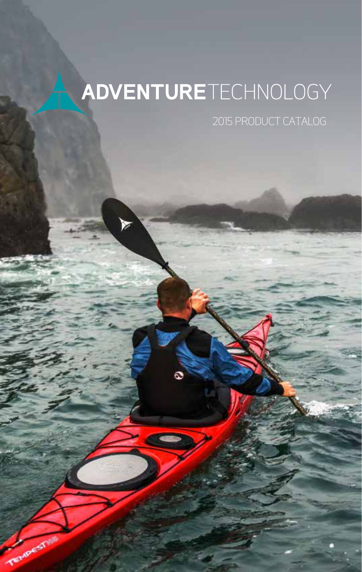# ADVENTURETECHNOLOGY

Tempest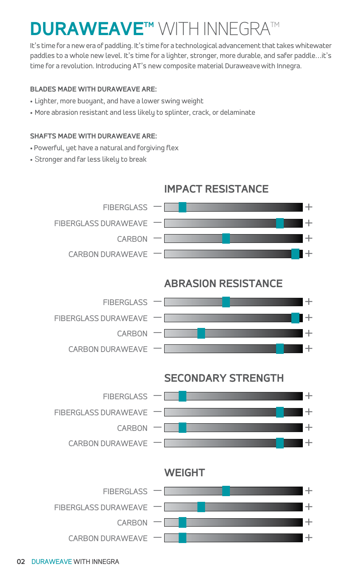# **DURAWEAVETM** WITH INNEGRATM

It's time for a new era of paddling. It's time for a technological advancement that takes whitewater paddles to a whole new level. It's time for a lighter, stronger, more durable, and safer paddle...it's time for a revolution. Introducing AT's new composite material Duraweavewith Innegra.

#### **BLADES MADE WITH DURAWEAVE ARE:**

- Lighter, more buoyant, and have a lower swing weight
- More abrasion resistant and less likely to splinter, crack, or delaminate

#### **SHAFTS MADE WITH DURAWEAVE ARE:**

- Powerful, yet have a natural and forgiving flex
- Stronger and far less likely to break



#### **02** DURAWEAVE WITH INNEGRA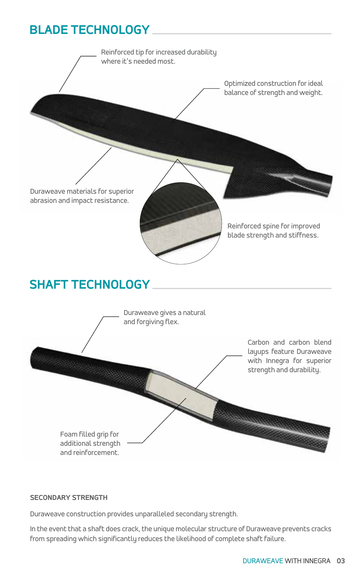### **BLADE TECHNOLOGY**



#### **SECONDARY STRENGTH**

Duraweave construction provides unparalleled secondary strength.

In the event that a shaft does crack, the unique molecular structure of Duraweave prevents cracks from spreading which significantly reduces the likelihood of complete shaft failure.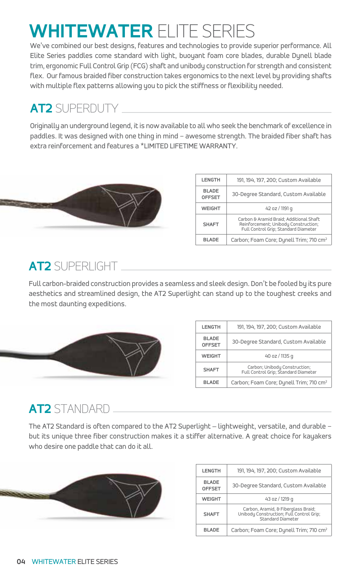# **WHITEWATER** ELITE SERIES

We've combined our best designs, features and technologies to provide superior performance. All Elite Series paddles come standard with light, buoyant foam core blades, durable Dynell blade trim, ergonomic Full Control Grip (FCG) shaft and unibody construction for strength and consistent flex. Our famous braided fiber construction takes ergonomics to the next level by providing shafts with multiple flex patterns allowing you to pick the stiffness or flexibility needed.

## **AT2** SUPERDUTY

Originally an underground legend, it is now available to all who seek the benchmark of excellence in paddles. It was designed with one thing in mind – awesome strength. The braided fiber shaft has extra reinforcement and features a \*LIMITED LIFETIME WARRANTY.



| LENGTH                         | 191, 194, 197, 200; Custom Available                                                                                    |
|--------------------------------|-------------------------------------------------------------------------------------------------------------------------|
| <b>BI ADF</b><br><b>OFFSET</b> | 30-Degree Standard, Custom Available                                                                                    |
| <b>WEIGHT</b>                  | 42 oz / 1191 g                                                                                                          |
| <b>SHAFT</b>                   | Carbon & Aramid Braid: Additional Shaft<br>Reinforcement; Unibody Construction;<br>Full Control Grip; Standard Diameter |
| <b>BLADE</b>                   | Carbon; Foam Core; Dynell Trim; 710 cm <sup>2</sup>                                                                     |

### **AT2** SUPERLIGHT

Full carbon-braided construction provides a seamless and sleek design. Don't be fooled by its pure aesthetics and streamlined design, the AT2 Superlight can stand up to the toughest creeks and the most daunting expeditions.



| <b>LENGTH</b>                  | 191, 194, 197, 200: Custom Available                                  |
|--------------------------------|-----------------------------------------------------------------------|
| <b>BI ADF</b><br><b>OFFSET</b> | 30-Degree Standard, Custom Available                                  |
| <b>WEIGHT</b>                  | 40 oz / 1135 g                                                        |
| <b>SHAFT</b>                   | Carbon; Unibody Construction;<br>Full Control Grip; Standard Diameter |
| <b>BI ADF</b>                  | Carbon; Foam Core; Dynell Trim; 710 cm <sup>2</sup>                   |

### **AT2** STANDARD

The AT2 Standard is often compared to the AT2 Superlight – lightweight, versatile, and durable – but its unique three fiber construction makes it a stiffer alternative. A great choice for kayakers who desire one paddle that can do it all.



| <b>LENGTH</b>                 | 191, 194, 197, 200; Custom Available                                                                 |
|-------------------------------|------------------------------------------------------------------------------------------------------|
| <b>BLADE</b><br><b>OFFSET</b> | 30-Degree Standard, Custom Available                                                                 |
| <b>WEIGHT</b>                 | 43 oz / 1219 g                                                                                       |
| <b>SHAFT</b>                  | Carbon, Aramid, & Fiberglass Braid;<br>Unibody Construction; Full Control Grip;<br>Standard Diameter |
| <b>BI ADF</b>                 | Carbon; Foam Core; Dynell Trim; 710 cm <sup>2</sup>                                                  |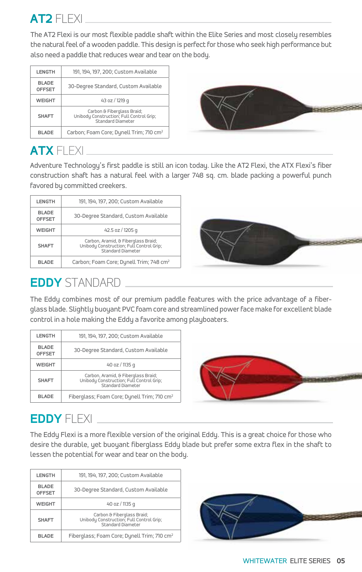

The AT2 Flexi is our most flexible paddle shaft within the Elite Series and most closely resembles the natural feel of a wooden paddle. This design is perfect for those who seek high performance but also need a paddle that reduces wear and tear on the body.

| LENGTH                        | 191, 194, 197, 200; Custom Available                                                        |
|-------------------------------|---------------------------------------------------------------------------------------------|
| <b>BLADE</b><br><b>OFFSET</b> | 30-Degree Standard, Custom Available                                                        |
| <b>WEIGHT</b>                 | 43 oz / 1219 g                                                                              |
| <b>SHAFT</b>                  | Carbon & Fiberglass Braid;<br>Unibody Construction; Full Control Grip;<br>Standard Diameter |
| <b>BLADE</b>                  | Carbon; Foam Core; Dynell Trim; 710 cm <sup>2</sup>                                         |



# **ATX** FLEXI

Adventure Technology's first paddle is still an icon today. Like the AT2 Flexi, the ATX Flexi's fiber construction shaft has a natural feel with a larger 748 sq. cm. blade packing a powerful punch favored by committed creekers.

| <b>LENGTH</b>                 | 191, 194, 197, 200; Custom Available                                                                 |
|-------------------------------|------------------------------------------------------------------------------------------------------|
| <b>BLADE</b><br><b>OFFSET</b> | 30-Degree Standard, Custom Available                                                                 |
| <b>WEIGHT</b>                 | 42.5 oz / 1205 g                                                                                     |
| <b>SHAFT</b>                  | Carbon, Aramid, & Fiberglass Braid;<br>Unibody Construction; Full Control Grip;<br>Standard Diameter |
| <b>BLADE</b>                  | Carbon; Foam Core; Dynell Trim; 748 cm <sup>2</sup>                                                  |



### **EDDY** STANDARD

The Eddy combines most of our premium paddle features with the price advantage of a fiberglass blade. Slightly buoyant PVC foam core and streamlined power face make for excellent blade control in a hole making the Eddy a favorite among playboaters.

| <b>LENGTH</b>                 | 191, 194, 197, 200; Custom Available                                                                 |
|-------------------------------|------------------------------------------------------------------------------------------------------|
| <b>BLADE</b><br><b>OFFSET</b> | 30-Degree Standard, Custom Available                                                                 |
| <b>WEIGHT</b>                 | 40 oz / 1135 g                                                                                       |
| <b>SHAFT</b>                  | Carbon, Aramid, & Fiberglass Braid;<br>Unibody Construction; Full Control Grip;<br>Standard Diameter |
| <b>BI ADF</b>                 | Fiberglass; Foam Core; Dynell Trim; 710 cm <sup>2</sup>                                              |



# **EDDY** FLEXI

The Eddy Flexi is a more flexible version of the original Eddy. This is a great choice for those who desire the durable, yet buoyant fiberglass Eddy blade but prefer some extra flex in the shaft to lessen the potential for wear and tear on the body.

| LENGTH                         | 191, 194, 197, 200; Custom Available                                                        |
|--------------------------------|---------------------------------------------------------------------------------------------|
| <b>BI ADF</b><br><b>OFFSET</b> | 30-Degree Standard, Custom Available                                                        |
| <b>WEIGHT</b>                  | 40 oz / 1135 g                                                                              |
| <b>SHAFT</b>                   | Carbon & Fiberglass Braid;<br>Unibody Construction; Full Control Grip;<br>Standard Diameter |
| <b>BI ADF</b>                  | Fiberglass; Foam Core; Dynell Trim; 710 cm <sup>2</sup>                                     |

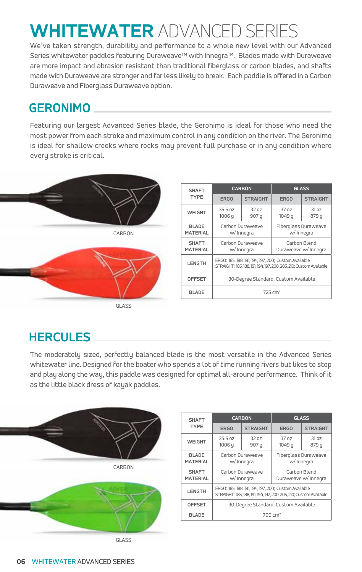# **WHITEWATER** ADVANCED SERIES

We've taken strength, durability and performance to a whole new level with our Advanced Series whitewater paddles featuring Duraweave™ with Innegra™. Blades made with Duraweave are more impact and abrasion resistant than traditional fiberglass or carbon blades, and shafts made with Duraweave are stronger and far less likely to break. Each paddle is offered in a Carbon Duraweave and Fiberglass Duraweave option.

### **GERONIMO**

Featuring our largest Advanced Series blade, the Geronimo is ideal for those who need the most power from each stroke and maximum control in any condition on the river. The Geronimo is ideal for shallow creeks where rocks may prevent full purchase or in any condition where every stroke is critical.



| <b>SHAFT</b>                    |                   | <b>CARBON</b>                                                                                                              |                            | <b>GLASS</b>                         |
|---------------------------------|-------------------|----------------------------------------------------------------------------------------------------------------------------|----------------------------|--------------------------------------|
| <b>TYPE</b>                     | ERGO              | <b>STRAIGHT</b>                                                                                                            | ERGO                       | <b>STRAIGHT</b>                      |
| <b>WEIGHT</b>                   | 35.5 oz<br>1006 q | 32 oz<br>907 q                                                                                                             | 37 <sub>0z</sub><br>1049 q | 31 oz<br>879 q                       |
| <b>BLADE</b><br><b>MATERIAL</b> |                   | Carbon Duraweave<br>w/ Innegra                                                                                             | w/ Innegra                 | Fiberglass Duraweave                 |
| <b>SHAFT</b><br><b>MATERIAL</b> |                   | Carbon Duraweave<br>w/ Innegra                                                                                             |                            | Carbon Blend<br>Duraweave w/ Innegra |
| <b>LENGTH</b>                   |                   | ERGO: 185, 188, 191, 194, 197, 200; Custom Available<br>STRAIGHT: 185, 188, 191, 194, 197, 200, 205, 210; Custom Available |                            |                                      |
| <b>OFFSET</b>                   |                   | 30-Degree Standard, Custom Available                                                                                       |                            |                                      |
| <b>BLADE</b>                    |                   |                                                                                                                            | $725 \text{ cm}^2$         |                                      |

### **HERCULES**

The moderately sized, perfectly balanced blade is the most versatile in the Advanced Series whitewater line. Designed for the boater who spends a lot of time running rivers but likes to stop and play along the way, this paddle was designed for optimal all-around performance. Think of it as the little black dress of kayak paddles.



| <b>SHAFT</b>                    |                   | <b>CARBON</b>                                                                                                              |                                    | <b>GLASS</b>                         |
|---------------------------------|-------------------|----------------------------------------------------------------------------------------------------------------------------|------------------------------------|--------------------------------------|
| <b>TYPE</b>                     | ERGO              | <b>STRAIGHT</b>                                                                                                            | ERGO                               | <b>STRAIGHT</b>                      |
| <b>WEIGHT</b>                   | 35.5 oz<br>1006 q | 320z<br>907 q                                                                                                              | 37 <sub>0z</sub><br>1049 q         | 31 oz<br>879 q                       |
| <b>BLADE</b><br><b>MATERIAL</b> |                   | Carbon Duraweave<br>w/ Innegra                                                                                             | Fiberglass Duraweave<br>w/ Innegra |                                      |
| <b>SHAFT</b><br><b>MATERIAL</b> |                   | Carbon Duraweave<br>w/ Innegra                                                                                             |                                    | Carbon Blend<br>Duraweave w/ Innegra |
| <b>LENGTH</b>                   |                   | ERGO: 185, 188, 191, 194, 197, 200; Custom Available<br>STRAIGHT: 185, 188, 191, 194, 197, 200, 205, 210; Custom Available |                                    |                                      |
| <b>OFFSET</b>                   |                   | 30-Degree Standard, Custom Available                                                                                       |                                    |                                      |
| <b>BLADE</b>                    |                   |                                                                                                                            | $700 \text{ cm}^2$                 |                                      |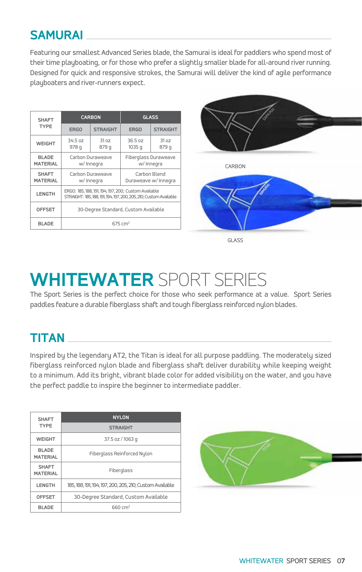### **SAMURAI**

Featuring our smallest Advanced Series blade, the Samurai is ideal for paddlers who spend most of their time playboating, or for those who prefer a slightly smaller blade for all-around river running. Designed for quick and responsive strokes, the Samurai will deliver the kind of agile performance playboaters and river-runners expect.

| <b>SHAFT</b>                    |                  | <b>CARBON</b>                                                                                                              |                    | <b>GLASS</b>                         |
|---------------------------------|------------------|----------------------------------------------------------------------------------------------------------------------------|--------------------|--------------------------------------|
| <b>TYPE</b>                     | ERGO             | <b>STRAIGHT</b>                                                                                                            | ERGO               | <b>STRAIGHT</b>                      |
| <b>WEIGHT</b>                   | 34.5 oz<br>978 q | 3107<br>879 q                                                                                                              | 36.5 oz<br>1035 g  | 31 oz<br>879 q                       |
| <b>BLADE</b><br><b>MATERIAL</b> |                  | Carbon Duraweave<br>w/ Innegra                                                                                             |                    | Fiberglass Duraweave<br>w/ Innegra   |
| <b>SHAFT</b><br><b>MATERIAL</b> |                  | Carbon Duraweave<br>w/ Innegra                                                                                             |                    | Carbon Blend<br>Duraweave w/ Innegra |
| <b>LENGTH</b>                   |                  | ERGO: 185, 188, 191, 194, 197, 200; Custom Available<br>STRAIGHT: 185, 188, 191, 194, 197, 200, 205, 210; Custom Available |                    |                                      |
| <b>OFFSET</b>                   |                  | 30-Degree Standard, Custom Available                                                                                       |                    |                                      |
| <b>BLADE</b>                    |                  |                                                                                                                            | $675 \text{ cm}^2$ |                                      |



# **WHITEWATER** SPORT SERIES

The Sport Series is the perfect choice for those who seek performance at a value. Sport Series paddles feature a durable fiberglass shaft and tough fiberglass reinforced nylon blades.

## **TITAN**

Inspired by the legendary AT2, the Titan is ideal for all purpose paddling. The moderately sized fiberglass reinforced nylon blade and fiberglass shaft deliver durability while keeping weight to a minimum. Add its bright, vibrant blade color for added visibility on the water, and you have the perfect paddle to inspire the beginner to intermediate paddler.

| <b>SHAFT</b>                    | <b>NYLON</b>                                             |
|---------------------------------|----------------------------------------------------------|
| <b>TYPE</b>                     | <b>STRAIGHT</b>                                          |
| <b>WEIGHT</b>                   | $37.5$ oz / 1063 g                                       |
| <b>BLADE</b><br><b>MATERIAL</b> | Fiberglass Reinforced Nulon                              |
| <b>SHAFT</b><br><b>MATERIAL</b> | Fiberglass                                               |
| LENGTH                          | 185, 188, 191, 194, 197, 200, 205, 210; Custom Available |
| <b>OFFSET</b>                   | 30-Degree Standard, Custom Available                     |
| <b>BLADE</b>                    | 660 cm <sup>2</sup>                                      |

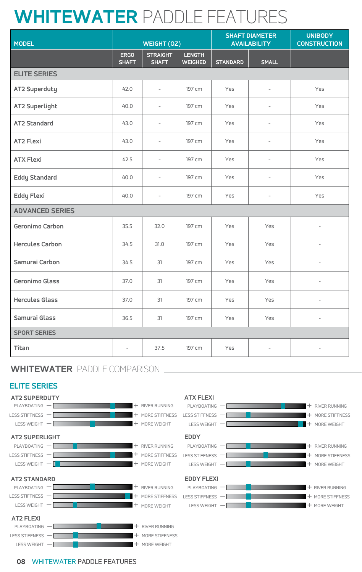# **WHITEWATER** PADDLE FEATURES

| <b>MODEL</b>           |                          | WEIGHT (0Z)                     |                                 |                 | <b>SHAFT DIAMETER</b><br><b>AVAILABILITY</b> | <b>UNIBODY</b><br><b>CONSTRUCTION</b> |
|------------------------|--------------------------|---------------------------------|---------------------------------|-----------------|----------------------------------------------|---------------------------------------|
|                        | ERGO<br><b>SHAFT</b>     | <b>STRAIGHT</b><br><b>SHAFT</b> | <b>LENGTH</b><br><b>WEIGHED</b> | <b>STANDARD</b> | <b>SMALL</b>                                 |                                       |
| <b>ELITE SERIES</b>    |                          |                                 |                                 |                 |                                              |                                       |
| AT2 Superduty          | 42.0                     | $\sim$                          | 197 cm                          | Yes             | $\sim$                                       | Yes                                   |
| AT2 Superlight         | 40.0                     | $\sim$                          | 197 cm                          | Yes             | $\sim$                                       | Yes                                   |
| AT2 Standard           | 43.0                     | $\sim$                          | 197 cm                          | Yes             | $\sim$                                       | Yes                                   |
| AT2 Flexi              | 43.0                     | $\sim$                          | 197 cm                          | Yes             | $\sim$                                       | Yes                                   |
| <b>ATX Flexi</b>       | 42.5                     | $\sim$                          | 197 cm                          | Yes             | $\sim$                                       | Yes                                   |
| <b>Eddy Standard</b>   | 40.0                     | $\sim$                          | 197 cm                          | Yes             | $\sim$                                       | Yes                                   |
| Eddy Flexi             | 40.0                     | $\sim$                          | 197 cm                          | Yes             | $\sim$                                       | Yes                                   |
| <b>ADVANCED SERIES</b> |                          |                                 |                                 |                 |                                              |                                       |
| Geronimo Carbon        | 35.5                     | 32.0                            | 197 cm                          | Yes             | Yes                                          | $\overline{\phantom{a}}$              |
| <b>Hercules Carbon</b> | 34.5                     | 31.0                            | 197 cm                          | Yes             | Yes                                          | $\sim$                                |
| Samurai Carbon         | 34.5                     | 31                              | 197 cm                          | Yes             | Yes                                          | $\overline{\phantom{a}}$              |
| Geronimo Glass         | 37.0                     | 31                              | 197 cm                          | Yes             | Yes                                          | $\overline{\phantom{a}}$              |
| <b>Hercules Glass</b>  | 37.0                     | 31                              | 197 cm                          | Yes             | Yes                                          | $\overline{\phantom{a}}$              |
| Samurai Glass          | 36.5                     | 31                              | 197 cm                          | Yes             | Yes                                          | $\overline{\phantom{a}}$              |
| <b>SPORT SERIES</b>    |                          |                                 |                                 |                 |                                              |                                       |
| Titan                  | $\overline{\phantom{a}}$ | 37.5                            | 197 cm                          | Yes             | $\sim$                                       | $\overline{\phantom{a}}$              |

### **WHITEWATER** PADDLE COMPARISON

#### **ELITE SERIES**





**08** WHITEWATER PADDLE FEATURES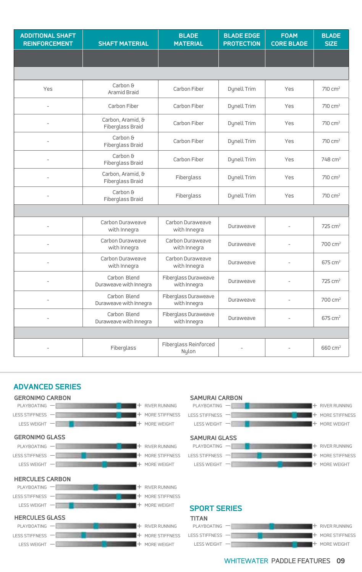| <b>ADDITIONAL SHAFT</b><br><b>REINFORCEMENT</b> | <b>SHAFT MATERIAL</b>                  | <b>BLADE</b><br><b>MATERIAL</b>      | <b>BLADE EDGE</b><br><b>PROTECTION</b> | <b>FOAM</b><br><b>CORE BLADE</b> | <b>BLADE</b><br><b>SIZE</b> |
|-------------------------------------------------|----------------------------------------|--------------------------------------|----------------------------------------|----------------------------------|-----------------------------|
|                                                 |                                        |                                      |                                        |                                  |                             |
|                                                 |                                        |                                      |                                        |                                  |                             |
| Yes                                             | Carbon &<br>Aramid Braid               | Carbon Fiber                         | Dynell Trim                            | Yes                              | 710 cm <sup>2</sup>         |
| $\overline{a}$                                  | Carbon Fiber                           | Carbon Fiber                         | Dynell Trim                            | Yes                              | 710 cm <sup>2</sup>         |
| $\overline{\phantom{a}}$                        | Carbon, Aramid, &<br>Fiberglass Braid  | Carbon Fiber                         | Dynell Trim                            | Yes                              | 710 cm <sup>2</sup>         |
| $\overline{a}$                                  | Carbon &<br>Fiberglass Braid           | Carbon Fiber                         | Dynell Trim                            | Yes                              | 710 cm <sup>2</sup>         |
| $\overline{\phantom{a}}$                        | Carbon &<br>Fiberglass Braid           | Carbon Fiber                         | Dynell Trim                            | Yes                              | 748 cm <sup>2</sup>         |
| $\sim$                                          | Carbon, Aramid, &<br>Fiberglass Braid  | Fiberglass                           | Dynell Trim                            | Yes                              | 710 cm <sup>2</sup>         |
| $\sim$                                          | Carbon &<br>Fiberglass Braid           | Fiberglass                           | Dynell Trim                            | Yes                              | 710 cm <sup>2</sup>         |
|                                                 |                                        |                                      |                                        |                                  |                             |
|                                                 | Carbon Duraweave<br>with Innegra       | Carbon Duraweave<br>with Innegra     | Duraweave                              | $\sim$                           | 725 cm <sup>2</sup>         |
| $\overline{\phantom{a}}$                        | Carbon Duraweave<br>with Innegra       | Carbon Duraweave<br>with Innegra     | Duraweave                              | $\sim$                           | 700 cm <sup>2</sup>         |
|                                                 | Carbon Duraweave<br>with Innegra       | Carbon Duraweave<br>with Innegra     | Duraweave                              | $\sim$                           | 675 cm <sup>2</sup>         |
|                                                 | Carbon Blend<br>Duraweave with Innegra | Fiberglass Duraweave<br>with Innegra | Duraweave                              | $\sim$                           | 725 cm <sup>2</sup>         |
| $\sim$                                          | Carbon Blend<br>Duraweave with Innegra | Fiberglass Duraweave<br>with Innegra | Duraweave                              | $\sim$                           | 700 cm <sup>2</sup>         |
| $\overline{\phantom{a}}$                        | Carbon Blend<br>Duraweave with Innegra | Fiberglass Duraweave<br>with Innegra | Duraweave                              | $\sim$                           | 675 cm <sup>2</sup>         |
|                                                 |                                        |                                      |                                        |                                  |                             |
|                                                 | Fiberglass                             | Fiberglass Reinforced<br>Nylon       | $\sim$                                 | $\overline{\phantom{a}}$         | 660 cm <sup>2</sup>         |







#### **SPORT SERIES**

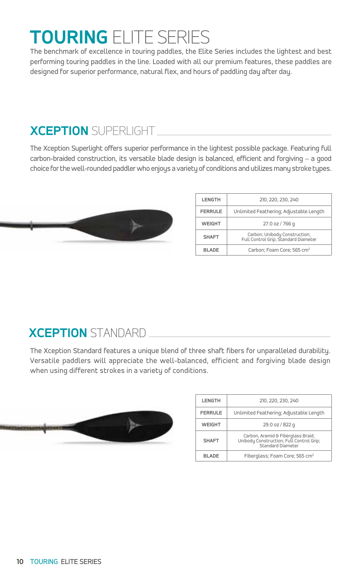# **TOURING** ELITE SERIES

The benchmark of excellence in touring paddles, the Elite Series includes the lightest and best performing touring paddles in the line. Loaded with all our premium features, these paddles are designed for superior performance, natural flex, and hours of paddling day after day.

# **XCEPTION** SUPERLIGHT

The Xception Superlight offers superior performance in the lightest possible package. Featuring full carbon-braided construction, its versatile blade design is balanced, efficient and forgiving – a good choice for the well-rounded paddler who enjoys a variety of conditions and utilizes many stroke types.



| <b>LENGTH</b>  | 210, 220, 230, 240                                                    |
|----------------|-----------------------------------------------------------------------|
| <b>FERRULE</b> | Unlimited Feathering; Adjustable Length                               |
| <b>WEIGHT</b>  | 27.0 oz / 766 g                                                       |
| <b>SHAFT</b>   | Carbon; Unibody Construction;<br>Full Control Grip; Standard Diameter |
| <b>BI ADF</b>  | Carbon; Foam Core; 565 cm <sup>2</sup>                                |

### **XCEPTION** STANDARD

The Xception Standard features a unique blend of three shaft fibers for unparalleled durability. Versatile paddlers will appreciate the well-balanced, efficient and forgiving blade design when using different strokes in a variety of conditions.



| <b>LENGTH</b>  | 210, 220, 230, 240                                                                                  |
|----------------|-----------------------------------------------------------------------------------------------------|
| <b>FERRULE</b> | Unlimited Feathering; Adjustable Length                                                             |
| <b>WEIGHT</b>  | 29.0 oz / 822 g                                                                                     |
| <b>SHAFT</b>   | Carbon, Aramid & Fiberglass Braid;<br>Unibody Construction; Full Control Grip;<br>Standard Diameter |
| <b>BLADE</b>   | Fiberglass; Foam Core; 565 cm <sup>2</sup>                                                          |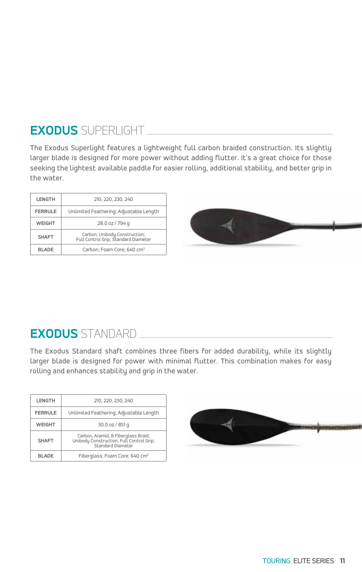# **EXODUS** SUPERLIGHT

The Exodus Superlight features a lightweight full carbon braided construction. Its slightly larger blade is designed for more power without adding flutter. It's a great choice for those seeking the lightest available paddle for easier rolling, additional stability, and better grip in the water.

| LENGTH         | 210, 220, 230, 240                                                    |
|----------------|-----------------------------------------------------------------------|
| <b>FERRULE</b> | Unlimited Feathering; Adjustable Length                               |
| <b>WEIGHT</b>  | 28.0 oz / 794 g                                                       |
| <b>SHAFT</b>   | Carbon; Unibody Construction;<br>Full Control Grip; Standard Diameter |
| <b>BI ADF</b>  | Carbon; Foam Core; 640 cm <sup>2</sup>                                |



### **EXODUS** STANDARD

The Exodus Standard shaft combines three fibers for added durability, while its slightly larger blade is designed for power with minimal flutter. This combination makes for easy rolling and enhances stability and grip in the water.

| LENGTH         | 210, 220, 230, 240                                                                                   |
|----------------|------------------------------------------------------------------------------------------------------|
| <b>FERRULE</b> | Unlimited Feathering; Adjustable Length                                                              |
| <b>WEIGHT</b>  | 30.0 oz / 851 g                                                                                      |
| <b>SHAFT</b>   | Carbon, Aramid, & Fiberglass Braid;<br>Unibody Construction; Full Control Grip;<br>Standard Diameter |
| <b>BI ADF</b>  | Fiberglass; Foam Core; 640 cm <sup>2</sup>                                                           |

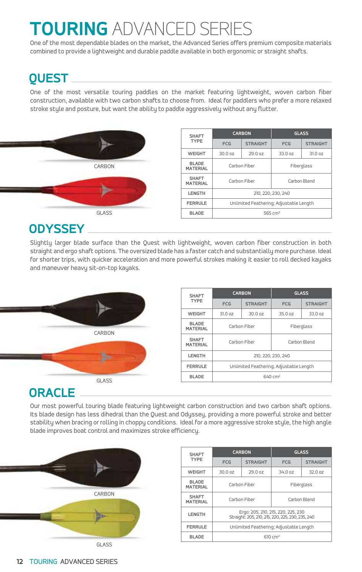# TOURING ADVANCED SEI

One of the most dependable blades on the market, the Advanced Series offers premium composite materials combined to provide a lightweight and durable paddle available in both ergonomic or straight shafts.

### **QUEST**

One of the most versatile touring paddles on the market featuring lightweight, woven carbon fiber construction, available with two carbon shafts to choose from. Ideal for paddlers who prefer a more relaxed stroke style and posture, but want the ability to paddle aggressively without any flutter.



### **ODYSSEY**

Slightly larger blade surface than the Quest with lightweight, woven carbon fiber construction in both straight and ergo shaft options. The oversized blade has a faster catch and substantially more purchase. Ideal for shorter trips, with quicker acceleration and more powerful strokes making it easier to roll decked kayaks and maneuver heavy sit-on-top kayaks.



Our most powerful touring blade featuring lightweight carbon construction and two carbon shaft options. Its blade design has less dihedral than the Quest and Odyssey, providing a more powerful stroke and better stability when bracing or rolling in choppy conditions. Ideal for a more aggressive stroke style, the high angle blade improves boat control and maximizes stroke efficiency.



| <b>SHAFT</b>                    |                                                                                        | <b>CARBON</b>   | <b>GLASS</b> |                 |  |
|---------------------------------|----------------------------------------------------------------------------------------|-----------------|--------------|-----------------|--|
| <b>TYPE</b>                     | <b>FCG</b>                                                                             | <b>STRAIGHT</b> | <b>FCG</b>   | <b>STRAIGHT</b> |  |
| <b>WEIGHT</b>                   | 30.0 oz                                                                                | 29.0 oz         | 34.0 oz      | 32.0 oz         |  |
| <b>BLADE</b><br><b>MATERIAL</b> |                                                                                        | Carbon Fiber    | Fiberglass   |                 |  |
| <b>SHAFT</b><br><b>MATERIAL</b> |                                                                                        | Carbon Fiber    | Carbon Blend |                 |  |
| LENGTH                          | Ergo: 205, 210, 215, 220, 225, 230<br>Straight: 205, 210, 215, 220, 225, 230, 235, 240 |                 |              |                 |  |
| <b>FERRULE</b>                  | Unlimited Feathering; Adjustable Length                                                |                 |              |                 |  |
| <b>BLADE</b>                    | $610 \text{ cm}^2$                                                                     |                 |              |                 |  |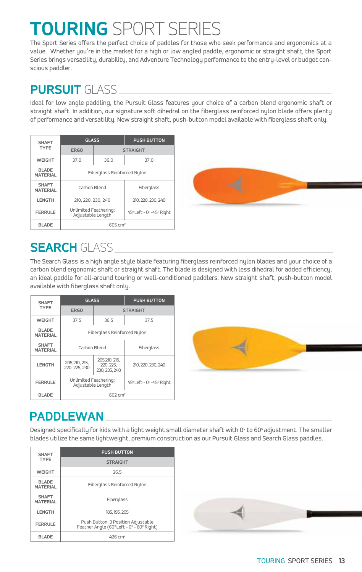# **TOURING** SPORT SERIES

The Sport Series offers the perfect choice of paddles for those who seek performance and ergonomics at a value. Whether you're in the market for a high or low angled paddle, ergonomic or straight shaft, the Sport Series brings versatility, durability, and Adventure Technology performance to the entry-level or budget conscious paddler.

### **PURSUIT** GLASS

Ideal for low angle paddling, the Pursuit Glass features your choice of a carbon blend ergonomic shaft or straight shaft. In addition, our signature soft dihedral on the fiberglass reinforced nylon blade offers plenty of performance and versatility. New straight shaft, push-button model available with fiberglass shaft only.

| <b>SHAFT</b>                    | <b>GLASS</b>                               |      | <b>PUSH BUTTON</b>       |  |  |  |  |
|---------------------------------|--------------------------------------------|------|--------------------------|--|--|--|--|
| <b>TYPE</b>                     | <b>ERGO</b>                                |      | <b>STRAIGHT</b>          |  |  |  |  |
| <b>WEIGHT</b>                   | 37.0                                       | 36.0 | 37.0                     |  |  |  |  |
| <b>BLADE</b><br><b>MATERIAL</b> | Fiberglass Reinforced Nulon                |      |                          |  |  |  |  |
| <b>SHAFT</b><br><b>MATERIAL</b> | Carbon Blend                               |      | Fiberglass               |  |  |  |  |
| LENGTH                          | 210, 220, 230, 240                         |      | 210, 220, 230, 240       |  |  |  |  |
| <b>FERRULE</b>                  | Unlimited Feathering;<br>Adjustable Length |      | 45° Left - 0° -45° Right |  |  |  |  |
| <b>BLADE</b>                    | 605 cm <sup>2</sup>                        |      |                          |  |  |  |  |



### **SEARCH** GLASS

The Search Glass is a high angle style blade featuring fiberglass reinforced nylon blades and your choice of a carbon blend ergonomic shaft or straight shaft. The blade is designed with less dihedral for added efficiency, an ideal paddle for all-around touring or well-conditioned paddlers. New straight shaft, push-button model available with fiberglass shaft only.

| <b>SHAFT</b>                    | <b>GLASS</b>                               |                                             | <b>PUSH BUTTON</b>       |  |  |  |  |
|---------------------------------|--------------------------------------------|---------------------------------------------|--------------------------|--|--|--|--|
| <b>TYPE</b>                     | ERG0                                       |                                             | <b>STRAIGHT</b>          |  |  |  |  |
| <b>WEIGHT</b>                   | 37.5                                       | 36.5                                        | 37.5                     |  |  |  |  |
| <b>BLADE</b><br><b>MATERIAL</b> | Fiberglass Reinforced Nulon                |                                             |                          |  |  |  |  |
| <b>SHAFT</b><br><b>MATERIAL</b> | Carbon Blend                               |                                             | Fiberglass               |  |  |  |  |
| LENGTH                          | 205,210, 215,<br>220, 225, 230             | 205,210, 215,<br>220, 225.<br>230, 235, 240 | 210, 220, 230, 240       |  |  |  |  |
| <b>FERRULE</b>                  | Unlimited Feathering;<br>Adjustable Length |                                             | 45° Left - 0° -45° Right |  |  |  |  |
| <b>BLADE</b>                    | $602 \, \text{cm}^2$                       |                                             |                          |  |  |  |  |



## **PADDLEWAN**

Designed specifically for kids with a light weight small diameter shaft with 0° to 60° adjustment. The smaller blades utilize the same lightweight, premium construction as our Pursuit Glass and Search Glass paddles.

| <b>SHAFT</b>                    | <b>PUSH BUTTON</b>                                                             |  |  |  |  |  |
|---------------------------------|--------------------------------------------------------------------------------|--|--|--|--|--|
| <b>TYPE</b>                     | <b>STRAIGHT</b>                                                                |  |  |  |  |  |
| WEIGHT                          | 26.5                                                                           |  |  |  |  |  |
| <b>BLADE</b><br><b>MATERIAL</b> | Fiberglass Reinforced Nulon                                                    |  |  |  |  |  |
| <b>SHAFT</b><br><b>MATERIAL</b> | Fiberglass                                                                     |  |  |  |  |  |
| LENGTH                          | 185, 195, 205                                                                  |  |  |  |  |  |
| <b>FERRULE</b>                  | Push Button; 3 Position Adjustable<br>Feather Angle (60°Left - 0° - 60° Right) |  |  |  |  |  |
| <b>BLADE</b>                    | $426$ cm <sup>2</sup>                                                          |  |  |  |  |  |

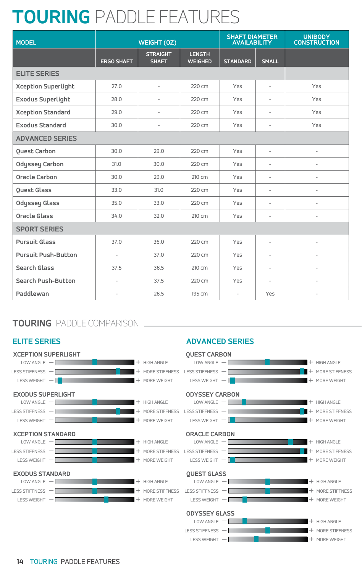# **TOURING** PADDLE FEATURES

| <b>MODEL</b>               |                   | WEIGHT (0Z)                     |                                 | SHAFT DIAMETER<br>AVAILABILITY |                          | UNIBODY<br>CONSTRUCTION  |
|----------------------------|-------------------|---------------------------------|---------------------------------|--------------------------------|--------------------------|--------------------------|
|                            | <b>ERGO SHAFT</b> | <b>STRAIGHT</b><br><b>SHAFT</b> | <b>LENGTH</b><br><b>WEIGHED</b> | <b>STANDARD</b>                | <b>SMALL</b>             |                          |
| <b>ELITE SERIES</b>        |                   |                                 |                                 |                                |                          |                          |
| <b>Xception Superlight</b> | 27.0              | $\sim$                          | 220 cm                          | Yes                            | $\sim$                   | Yes                      |
| <b>Exodus Superlight</b>   | 28.0              | $\sim$                          | 220 cm                          | Yes                            | $\sim$                   | Yes                      |
| <b>Xception Standard</b>   | 29.0              | $\sim$                          | 220 cm                          | Yes                            | $\sim$                   | Yes                      |
| <b>Exodus Standard</b>     | 30.0              | $\sim$                          | 220 cm                          | Yes                            | $\sim$                   | Yes                      |
| <b>ADVANCED SERIES</b>     |                   |                                 |                                 |                                |                          |                          |
| Quest Carbon               | 30.0              | 29.0                            | 220 cm                          | Yes                            | $\sim$                   | $\overline{\phantom{a}}$ |
| Odyssey Carbon             | 31.0              | 30.0                            | 220 cm                          | Yes                            | $\sim$                   | $\overline{\phantom{a}}$ |
| <b>Oracle Carbon</b>       | 30.0              | 29.0                            | 210 cm                          | Yes                            | $\overline{\phantom{a}}$ | $\overline{\phantom{a}}$ |
| Quest Glass                | 33.0              | 31.0                            | 220 cm                          | Yes                            | $\sim$                   | $\overline{\phantom{a}}$ |
| <b>Odyssey Glass</b>       | 35.0              | 33.0                            | 220 cm                          | Yes                            | $\sim$                   | $\overline{\phantom{a}}$ |
| Oracle Glass               | 34.0              | 32.0                            | 210 cm                          | Yes                            | $\overline{\phantom{a}}$ | $\overline{\phantom{a}}$ |
| <b>SPORT SERIES</b>        |                   |                                 |                                 |                                |                          |                          |
| <b>Pursuit Glass</b>       | 37.0              | 36.0                            | 220 cm                          | Yes                            | $\sim$                   | $\overline{\phantom{a}}$ |
| <b>Pursuit Push-Button</b> | $\sim$            | 37.0                            | 220 cm                          | Yes                            | $\sim$                   | $\overline{\phantom{a}}$ |
| Search Glass               | 37.5              | 36.5                            | 210 cm                          | Yes                            | $\sim$                   | $\overline{\phantom{a}}$ |
| Search Push-Button         | $\sim$            | 37.5                            | 220 cm                          | Yes                            | $\sim$                   | $\overline{\phantom{a}}$ |
| Paddlewan                  | $\sim$            | 26.5                            | 195 cm                          | $\sim$                         | Yes                      | $\overline{\phantom{a}}$ |

### **TOURING** PADDLE COMPARISON

#### **ELITE SERIES**



**ADVANCED SERIES**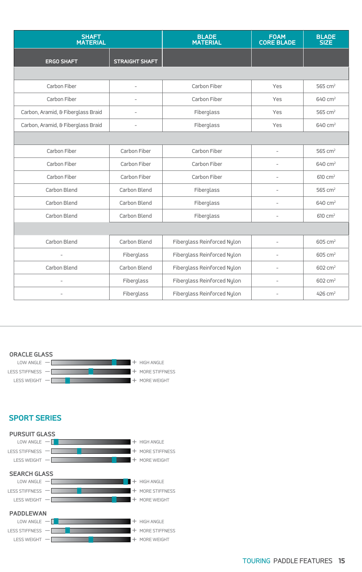|                                    | SHAFT<br>MATERIAL     |                             | FOAM<br>CORE BLADE | <b>BLADE</b><br>SIZE  |
|------------------------------------|-----------------------|-----------------------------|--------------------|-----------------------|
| <b>ERGO SHAFT</b>                  | <b>STRAIGHT SHAFT</b> |                             |                    |                       |
|                                    |                       |                             |                    |                       |
| Carbon Fiber                       | $\sim$                | Carbon Fiber                | Yes                | 565 cm <sup>2</sup>   |
| Carbon Fiber                       | $\sim$                | Carbon Fiber                | Yes                | 640 cm <sup>2</sup>   |
| Carbon, Aramid, & Fiberglass Braid | $\sim$                | Fiberglass                  | Yes                | 565 cm <sup>2</sup>   |
| Carbon, Aramid, & Fiberglass Braid | $\sim$                | Fiberglass                  | Yes                | 640 cm <sup>2</sup>   |
|                                    |                       |                             |                    |                       |
| Carbon Fiber                       | Carbon Fiber          | Carbon Fiber                | $\sim$             | 565 cm <sup>2</sup>   |
| Carbon Fiber                       | Carbon Fiber          | Carbon Fiber                | $\sim$             | 640 cm <sup>2</sup>   |
| Carbon Fiber                       | Carbon Fiber          | Carbon Fiber                | $\sim$             | 610 cm <sup>2</sup>   |
| Carbon Blend                       | Carbon Blend          | Fiberglass                  | $\sim$             | 565 cm <sup>2</sup>   |
| Carbon Blend                       | Carbon Blend          | Fiberglass                  | $\sim$             | 640 cm <sup>2</sup>   |
| Carbon Blend                       | Carbon Blend          | Fiberglass                  | $\sim$             | 610 cm <sup>2</sup>   |
|                                    |                       |                             |                    |                       |
| Carbon Blend                       | Carbon Blend          | Fiberglass Reinforced Nylon | $\sim$             | $605 \text{ cm}^2$    |
| $\sim$                             | Fiberglass            | Fiberglass Reinforced Nylon | $\sim$             | 605 cm <sup>2</sup>   |
| Carbon Blend                       | Carbon Blend          | Fiberglass Reinforced Nylon | $\sim$             | 602 cm <sup>2</sup>   |
| $\overline{\phantom{a}}$           | Fiberglass            | Fiberglass Reinforced Nylon | $\sim$             | 602 cm <sup>2</sup>   |
| $\sim$                             | Fiberglass            | Fiberglass Reinforced Nylon | $\sim$             | $426$ cm <sup>2</sup> |



#### **SPORT SERIES**

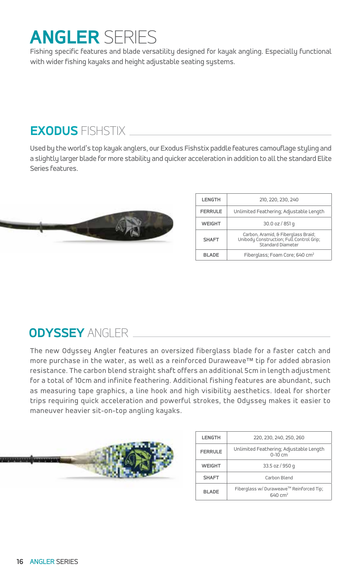# **ANGLER** SERIES

Fishing specific features and blade versatility designed for kayak angling. Especially functional with wider fishing kayaks and height adjustable seating systems.

## **EXODUS** FISHSTIX

Used by the world's top kayak anglers, our Exodus Fishstix paddle features camouflage styling and a slightly larger blade for more stability and quicker acceleration in addition to all the standard Elite Series features.



| <b>LENGTH</b>  | 210, 220, 230, 240                                                                                   |  |  |  |  |  |  |  |  |
|----------------|------------------------------------------------------------------------------------------------------|--|--|--|--|--|--|--|--|
| <b>FERRULE</b> | Unlimited Feathering; Adjustable Length                                                              |  |  |  |  |  |  |  |  |
| <b>WEIGHT</b>  | 30.0 oz / 851 g                                                                                      |  |  |  |  |  |  |  |  |
| <b>SHAFT</b>   | Carbon, Aramid, & Fiberglass Braid;<br>Unibody Construction; Full Control Grip;<br>Standard Diameter |  |  |  |  |  |  |  |  |
| <b>BLADE</b>   | Fiberglass; Foam Core; 640 cm <sup>2</sup>                                                           |  |  |  |  |  |  |  |  |

## **ODYSSEY** ANGLER

The new Odyssey Angler features an oversized fiberglass blade for a faster catch and more purchase in the water, as well as a reinforced Duraweave™ tip for added abrasion resistance. The carbon blend straight shaft offers an additional 5cm in length adjustment for a total of 10cm and infinite feathering. Additional fishing features are abundant, such as measuring tape graphics, a line hook and high visibility aesthetics. Ideal for shorter trips requiring quick acceleration and powerful strokes, the Odyssey makes it easier to maneuver heavier sit-on-top angling kayaks.



| <b>LENGTH</b>  | 220, 230, 240, 250, 260                                        |  |  |  |  |  |  |  |
|----------------|----------------------------------------------------------------|--|--|--|--|--|--|--|
| <b>FERRULE</b> | Unlimited Feathering; Adjustable Length<br>$0-10$ cm           |  |  |  |  |  |  |  |
| <b>WEIGHT</b>  | 33.5 oz / 950 g                                                |  |  |  |  |  |  |  |
| <b>SHAFT</b>   | Carbon Blend                                                   |  |  |  |  |  |  |  |
| <b>BI ADF</b>  | Fiberglass w/ Duraweave™ Reinforced Tip;<br>$640 \text{ cm}^2$ |  |  |  |  |  |  |  |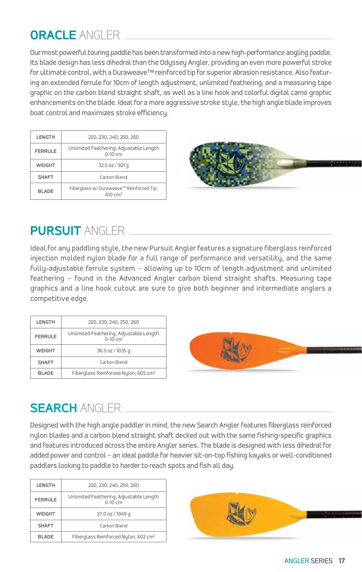## **ORACLE** ANGLER

Our most powerful touring paddle has been transformed into a new high-performance angling paddle. Its blade design has less dihedral than the Odyssey Angler, providing an even more powerful stroke for ultimate control, with a Duraweave™ reinforced tip for superior abrasion resistance. Also featuring an extended ferrule for 10cm of length adjustment, unlimited feathering, and a measuring tape graphic on the carbon blend straight shaft, as well as a line hook and colorful digital camo graphic enhancements on the blade. Ideal for a more aggressive stroke style, the high angle blade improves boat control and maximizes stroke efficiency.

| LENGTH         | 220, 230, 240, 250, 260                                          |  |  |  |  |  |  |  |
|----------------|------------------------------------------------------------------|--|--|--|--|--|--|--|
| <b>FERRULE</b> | Unlimited Feathering; Adjustable Length<br>$0-10$ cm             |  |  |  |  |  |  |  |
| <b>WEIGHT</b>  | 32.5 oz / 921 g                                                  |  |  |  |  |  |  |  |
| <b>SHAFT</b>   | Carbon Blend                                                     |  |  |  |  |  |  |  |
| <b>BLADE</b>   | Fiberglass w/ Duraweave™ Reinforced Tip;<br>$610 \, \text{cm}^2$ |  |  |  |  |  |  |  |



## **PURSUIT** ANGLER

Ideal for any paddling style, the new Pursuit Angler features a signature fiberglass reinforced injection molded nylon blade for a full range of performance and versatility, and the same fully-adjustable ferrule system – allowing up to 10cm of length adjustment and unlimited feathering – found in the Advanced Angler carbon blend straight shafts. Measuring tape graphics and a line hook cutout are sure to give both beginner and intermediate anglers a competitive edge.

| <b>LENGTH</b>                     | 220, 230, 240, 250, 260                              |  |  |  |  |  |  |
|-----------------------------------|------------------------------------------------------|--|--|--|--|--|--|
| <b>FERRULE</b>                    | Unlimited Feathering; Adjustable Length<br>$0-10$ cm |  |  |  |  |  |  |
| 36.5 oz / 1035 g<br><b>WEIGHT</b> |                                                      |  |  |  |  |  |  |
| <b>SHAFT</b>                      | Carbon Blend                                         |  |  |  |  |  |  |
| <b>BLADE</b>                      | Fiberglass Reinforced Nylon; 605 cm <sup>2</sup>     |  |  |  |  |  |  |



# **SEARCH** ANGLER

Designed with the high angle paddler in mind, the new Search Angler features fiberglass reinforced nylon blades and a carbon blend straight shaft decked out with the same fishing-specific graphics and features introduced across the entire Angler series. The blade is designed with less dihedral for added power and control – an ideal paddle for heavier sit-on-top fishing kayaks or well-conditioned paddlers looking to paddle to harder to reach spots and fish all day.

| LENGTH         | 220, 230, 240, 250, 260                              |
|----------------|------------------------------------------------------|
| <b>FERRULE</b> | Unlimited Feathering; Adjustable Length<br>$0-10$ cm |
| <b>WEIGHT</b>  | 37.0 oz / 1049 g                                     |
| <b>SHAFT</b>   | Carbon Blend                                         |
| <b>BI ADF</b>  | Fiberglass Reinforced Nylon; 602 cm <sup>2</sup>     |

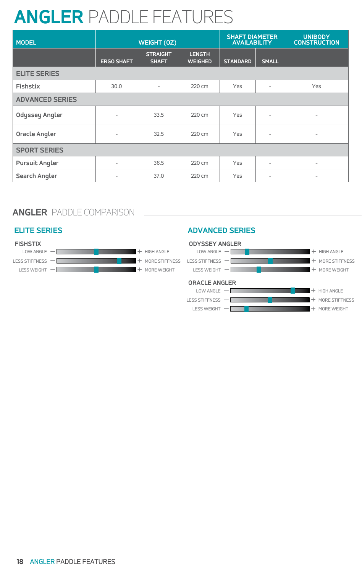# **ANGLER** PADDLE FEATURES

| <b>MODEL</b>           |                          | WEIGHT (0Z)                     |                                 | <b>SHAFT DIAMETER</b><br><b>AVAILABILITY</b> |                          | <b>UNIBODY</b><br><b>CONSTRUCTION</b> |
|------------------------|--------------------------|---------------------------------|---------------------------------|----------------------------------------------|--------------------------|---------------------------------------|
|                        | <b>ERGO SHAFT</b>        | <b>STRAIGHT</b><br><b>SHAFT</b> | <b>LENGTH</b><br><b>WEIGHED</b> | <b>STANDARD</b>                              | <b>SMALL</b>             |                                       |
| <b>ELITE SERIES</b>    |                          |                                 |                                 |                                              |                          |                                       |
| Fishstix               | 30.0                     | $\overline{\phantom{0}}$        | 220 cm                          | Yes                                          | $\overline{\phantom{a}}$ | Yes                                   |
| <b>ADVANCED SERIES</b> |                          |                                 |                                 |                                              |                          |                                       |
| Odyssey Angler         | $\overline{\phantom{0}}$ | 33.5                            | 220 cm                          | Yes                                          | $\overline{\phantom{a}}$ | $\overline{\phantom{a}}$              |
| Oracle Angler          | $\overline{\phantom{0}}$ | 32.5                            | 220 cm                          | Yes                                          | $\overline{\phantom{a}}$ | $\overline{\phantom{a}}$              |
| <b>SPORT SERIES</b>    |                          |                                 |                                 |                                              |                          |                                       |
| <b>Pursuit Angler</b>  | $\overline{\phantom{0}}$ | 36.5                            | 220 cm                          | Yes                                          | $\overline{\phantom{a}}$ | $\overline{\phantom{a}}$              |
| Search Angler          | $-$                      | 37.0                            | 220 cm                          | Yes                                          | $\sim$                   | $\overline{\phantom{a}}$              |

### **ANGLER** PADDLE COMPARISON



#### **ELITE SERIES ADVANCED SERIES**

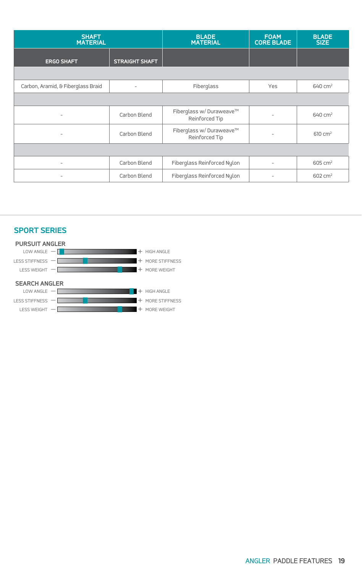| <b>SHAFT</b><br><b>MATERIAL</b>    |                          | <b>BLADE</b><br><b>MATERIAL</b>            | <b>FOAM</b><br><b>CORE BLADE</b> | <b>BLADE</b><br>SIZE |
|------------------------------------|--------------------------|--------------------------------------------|----------------------------------|----------------------|
| <b>ERGO SHAFT</b>                  | <b>STRAIGHT SHAFT</b>    |                                            |                                  |                      |
|                                    |                          |                                            |                                  |                      |
| Carbon, Aramid, & Fiberglass Braid | $\overline{\phantom{0}}$ | Fiberglass                                 | Yes                              | 640 cm <sup>2</sup>  |
|                                    |                          |                                            |                                  |                      |
| $\sim$                             | Carbon Blend             | Fiberglass w/ Duraweave™<br>Reinforced Tip | $\overline{\phantom{a}}$         | 640 cm <sup>2</sup>  |
| $-$                                | Carbon Blend             | Fiberglass w/ Duraweave™<br>Reinforced Tip | $\overline{\phantom{0}}$         | 610 cm <sup>2</sup>  |
|                                    |                          |                                            |                                  |                      |
| $\overline{\phantom{0}}$           | Carbon Blend             | Fiberglass Reinforced Nylon                | $-$                              | 605 cm <sup>2</sup>  |
| $\sim$                             | Carbon Blend             | Fiberglass Reinforced Nylon                | $-$                              | 602 cm <sup>2</sup>  |



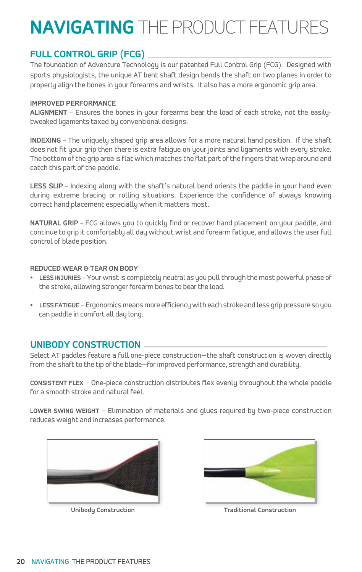# **NAVIGATING** THE PRODUCT FEATURES

### **FULL CONTROL GRIP (FCG)**

The foundation of Adventure Technology is our patented Full Control Grip (FCG). Designed with sports physiologists, the unique AT bent shaft design bends the shaft on two planes in order to properly align the bones in your forearms and wrists. It also has a more ergonomic grip area.

#### **IMPROVED PERFORMANCE**

**ALIGNMENT** – Ensures the bones in your forearms bear the load of each stroke, not the easilytweaked ligaments taxed by conventional designs.

**INDEXING** – The uniquely shaped grip area allows for a more natural hand position. If the shaft does not fit your grip then there is extra fatigue on your joints and ligaments with every stroke. The bottom of the grip area is flat which matches the flat part of the fingers that wrap around and catch this part of the paddle.

LESS SLIP - Indexing along with the shaft's natural bend orients the paddle in your hand even during extreme bracing or rolling situations. Experience the confidence of always knowing correct hand placement especially when it matters most.

**NATURAL GRIP** – FCG allows you to quickly find or recover hand placement on your paddle, and continue to grip it comfortably all day without wrist and forearm fatigue, and allows the user full control of blade position.

#### **REDUCED WEAR & TEAR ON BODY**

- **• LESS INJURIES** Your wrist is completely neutral as you pull through the most powerful phase of the stroke, allowing stronger forearm bones to bear the load.
- **• LESS FATIGUE** Ergonomics means more efficiency with each stroke and less grip pressure so you can paddle in comfort all day long.

#### **UNIBODY CONSTRUCTION**

Select AT paddles feature a full one-piece construction—the shaft construction is woven directly from the shaft to the tip of the blade—for improved performance, strength and durability.

**CONSISTENT FLEX** – One-piece construction distributes flex evenly throughout the whole paddle for a smooth stroke and natural feel.

**LOWER SWING WEIGHT** – Elimination of materials and glues required by two-piece construction reduces weight and increases performance.





**Unibody Construction Traditional Construction**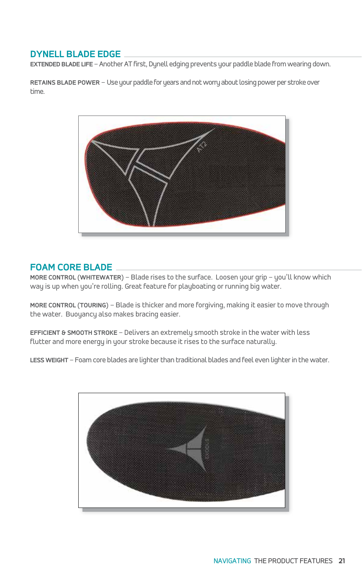#### **DYNELL BLADE EDGE**

**EXTENDED BLADE LIFE** – Another AT first, Dynell edging prevents your paddle blade from wearing down.

RETAINS BLADE POWER - Use your paddle for years and not worry about losing power per stroke over time.



#### **FOAM CORE BLADE**

**MORE CONTROL (WHITEWATER)** – Blade rises to the surface. Loosen your grip – you'll know which way is up when you're rolling. Great feature for playboating or running big water.

**MORE CONTROL (TOURING)** – Blade is thicker and more forgiving, making it easier to move through the water. Buoyancy also makes bracing easier.

**EFFICIENT & SMOOTH STROKE** – Delivers an extremely smooth stroke in the water with less flutter and more energy in your stroke because it rises to the surface naturally.

**LESS WEIGHT** – Foam core blades are lighter than traditional blades and feel even lighter in the water.

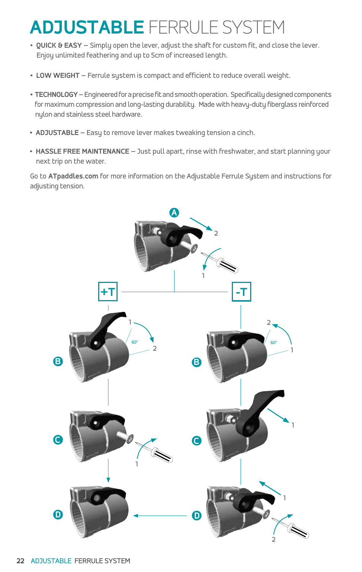# **ADJUSTABLE** FERRULE SYSTEM

- **QUICK & EASY** Simply open the lever, adjust the shaft for custom fit, and close the lever. Enjoy unlimited feathering and up to 5cm of increased length.
- **LOW WEIGHT** Ferrule system is compact and efficient to reduce overall weight.
- **TECHNOLOGY –**Engineered for a precise fit and smooth operation. Specifically designed components for maximum compression and long-lasting durability. Made with heavy-duty fiberglass reinforced nylon and stainless steel hardware.
- **ADJUSTABLE** Easy to remove lever makes tweaking tension a cinch.
- **HASSLE FREE MAINTENANCE** Just pull apart, rinse with freshwater, and start planning your next trip on the water.

Go to **ATpaddles.com** for more information on the Adjustable Ferrule System and instructions for adjusting tension.

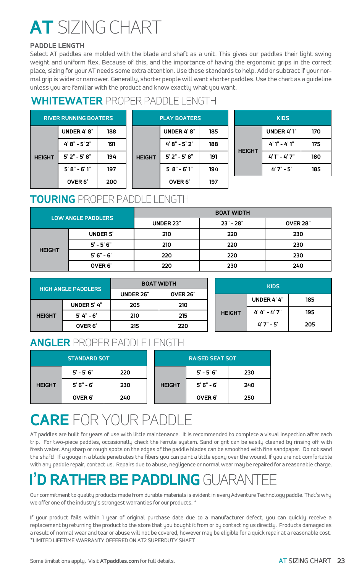# **AT** SIZING CHART

#### **PADDLE LENGTH**

Select AT paddles are molded with the blade and shaft as a unit. This gives our paddles their light swing weight and uniform flex. Because of this, and the importance of having the ergonomic grips in the correct place, sizing for your AT needs some extra attention. Use these standards to help. Add or subtract if your normal grip is wider or narrower. Generally, shorter people will want shorter paddles. Use the chart as a guideline unless you are familiar with the product and know exactly what you want.

### **WHITEWATER** PROPER PADDLE LENGTH

| <b>RIVER RUNNING BOATERS</b> |                   |     |  |  |  |
|------------------------------|-------------------|-----|--|--|--|
|                              | UNDER 4'8"        | 188 |  |  |  |
|                              | $4'8" - 5'2"$     | 191 |  |  |  |
| <b>HEIGHT</b>                | $5'2'' - 5'8''$   | 194 |  |  |  |
|                              | $5' 8" - 6' 1"$   | 197 |  |  |  |
|                              | OVER <sub>6</sub> | 200 |  |  |  |

| <b>PLAY BOATERS</b> |                   |     |  |  |  |  |  |  |
|---------------------|-------------------|-----|--|--|--|--|--|--|
|                     | <b>UNDER 4'8"</b> | 185 |  |  |  |  |  |  |
|                     | $4' 8" - 5' 2"$   | 188 |  |  |  |  |  |  |
| <b>HEIGHT</b>       | $5'2'' - 5'8''$   | 191 |  |  |  |  |  |  |
|                     | $5' 8'' - 6' 1''$ | 194 |  |  |  |  |  |  |
|                     | OVER <sub>6</sub> | 197 |  |  |  |  |  |  |

|               | <b>KIDS</b>     |     |
|---------------|-----------------|-----|
| <b>HEIGHT</b> | UNDER 4'1"      | 170 |
|               | $4'1'' - 4'1''$ | 175 |
|               | $4'1'' - 4'7''$ | 180 |
|               | $4'7'' - 5'$    | 185 |

### **TOURING** PROPER PADDLE LENGTH

| LOW ANGLE PADDLERS |                   | <b>BOAT WIDTH</b> |             |                 |  |  |  |
|--------------------|-------------------|-------------------|-------------|-----------------|--|--|--|
|                    |                   | <b>UNDER 23"</b>  | $23" - 28"$ | <b>OVER 28"</b> |  |  |  |
| <b>HEIGHT</b>      | <b>UNDER 5'</b>   | 210               | 220         | 230             |  |  |  |
|                    | $5' - 5' 6''$     | 210               | 220         | 230             |  |  |  |
|                    | $5'6'' - 6'$      | 220               | 220         | 230             |  |  |  |
|                    | OVER <sub>6</sub> | 220               | 230         | 240             |  |  |  |

| <b>HIGH ANGLE PADDLERS</b> |                   | <b>BOAT WIDTH</b> |                 |  | <b>KIDS</b>   |                   |     |
|----------------------------|-------------------|-------------------|-----------------|--|---------------|-------------------|-----|
|                            |                   | UNDER 26"         | <b>OVER 26"</b> |  |               | UNDER 4'4"        |     |
| <b>HEIGHT</b>              | UNDER 5'4"        | 205               | 210             |  |               |                   | 185 |
|                            | $5' 4'' - 6'$     | 210               | 215             |  | <b>HEIGHT</b> | $4' 4'' - 4' 7''$ | 195 |
|                            | OVER <sub>6</sub> | 215               | 220             |  |               | $4'7'' - 5'$      | 205 |

### **ANGLER** PROPER PADDLE LENGTH

| <b>STANDARD SOT</b> |                   |     |  |               | <b>RAISED SEAT SOT</b> |     |
|---------------------|-------------------|-----|--|---------------|------------------------|-----|
|                     | $5' - 5' 6''$     | 220 |  |               | $5' - 5' 6''$          | 230 |
| <b>HEIGHT</b>       | $5'6'' - 6'$      | 230 |  | <b>HEIGHT</b> | $5'6'' - 6'$           | 240 |
|                     | OVER <sub>6</sub> | 240 |  |               | OVER <sub>6</sub>      | 250 |

# **CARE** FOR YOUR PADDLE

AT paddles are built for years of use with little maintenance. It is recommended to complete a visual inspection after each trip. For two-piece paddles, occasionally check the ferrule system. Sand or grit can be easily cleaned by rinsing off with fresh water. Any sharp or rough spots on the edges of the paddle blades can be smoothed with fine sandpaper. Do not sand the shaft! If a gouge in a blade penetrates the fibers you can paint a little epoxy over the wound. If you are not comfortable with any paddle repair, contact us. Repairs due to abuse, negligence or normal wear may be repaired for a reasonable charge.

# **IN RATHER BE PADDLING**

Our commitment to quality products made from durable materials is evident in every Adventure Technology paddle. That's why we offer one of the industry's strongest warranties for our products. \*

If your product fails within 1 year of original purchase date due to a manufacturer defect, you can quickly receive a replacement by returning the product to the store that you bought it from or by contacting us directly. Products damaged as a result of normal wear and tear or abuse will not be covered, however may be eligible for a quick repair at a reasonable cost. \*LIMITED LIFETIME WARRANTY OFFERED ON AT2 SUPERDUTY SHAFT